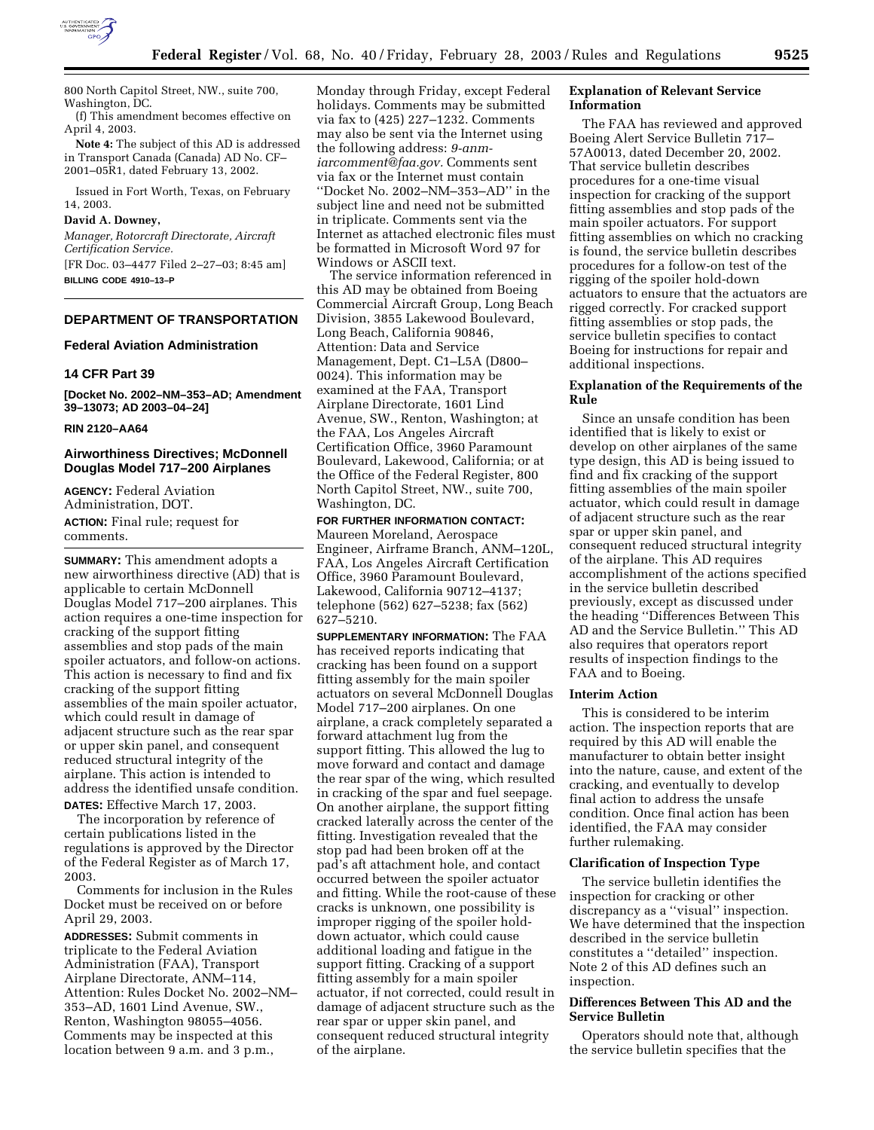

800 North Capitol Street, NW., suite 700, Washington, DC.

(f) This amendment becomes effective on April 4, 2003.

**Note 4:** The subject of this AD is addressed in Transport Canada (Canada) AD No. CF– 2001–05R1, dated February 13, 2002.

Issued in Fort Worth, Texas, on February 14, 2003.

## **David A. Downey,**

*Manager, Rotorcraft Directorate, Aircraft Certification Service.*

[FR Doc. 03–4477 Filed 2–27–03; 8:45 am] **BILLING CODE 4910–13–P**

## **DEPARTMENT OF TRANSPORTATION**

## **Federal Aviation Administration**

## **14 CFR Part 39**

**[Docket No. 2002–NM–353–AD; Amendment 39–13073; AD 2003–04–24]** 

#### **RIN 2120–AA64**

## **Airworthiness Directives; McDonnell Douglas Model 717–200 Airplanes**

**AGENCY:** Federal Aviation Administration, DOT. **ACTION:** Final rule; request for comments.

**SUMMARY:** This amendment adopts a new airworthiness directive (AD) that is applicable to certain McDonnell Douglas Model 717–200 airplanes. This action requires a one-time inspection for cracking of the support fitting assemblies and stop pads of the main spoiler actuators, and follow-on actions. This action is necessary to find and fix cracking of the support fitting assemblies of the main spoiler actuator, which could result in damage of adjacent structure such as the rear spar or upper skin panel, and consequent reduced structural integrity of the airplane. This action is intended to address the identified unsafe condition. **DATES:** Effective March 17, 2003.

The incorporation by reference of certain publications listed in the regulations is approved by the Director of the Federal Register as of March 17, 2003.

Comments for inclusion in the Rules Docket must be received on or before April 29, 2003.

**ADDRESSES:** Submit comments in triplicate to the Federal Aviation Administration (FAA), Transport Airplane Directorate, ANM–114, Attention: Rules Docket No. 2002–NM– 353–AD, 1601 Lind Avenue, SW., Renton, Washington 98055–4056. Comments may be inspected at this location between 9 a.m. and 3 p.m.,

Monday through Friday, except Federal holidays. Comments may be submitted via fax to (425) 227–1232. Comments may also be sent via the Internet using the following address: *9-anmiarcomment@faa.gov.* Comments sent via fax or the Internet must contain ''Docket No. 2002–NM–353–AD'' in the subject line and need not be submitted in triplicate. Comments sent via the Internet as attached electronic files must be formatted in Microsoft Word 97 for Windows or ASCII text.

The service information referenced in this AD may be obtained from Boeing Commercial Aircraft Group, Long Beach Division, 3855 Lakewood Boulevard, Long Beach, California 90846, Attention: Data and Service Management, Dept. C1–L5A (D800– 0024). This information may be examined at the FAA, Transport Airplane Directorate, 1601 Lind Avenue, SW., Renton, Washington; at the FAA, Los Angeles Aircraft Certification Office, 3960 Paramount Boulevard, Lakewood, California; or at the Office of the Federal Register, 800 North Capitol Street, NW., suite 700, Washington, DC.

## **FOR FURTHER INFORMATION CONTACT:**

Maureen Moreland, Aerospace Engineer, Airframe Branch, ANM–120L, FAA, Los Angeles Aircraft Certification Office, 3960 Paramount Boulevard, Lakewood, California 90712–4137; telephone (562) 627–5238; fax (562) 627–5210.

**SUPPLEMENTARY INFORMATION:** The FAA has received reports indicating that cracking has been found on a support fitting assembly for the main spoiler actuators on several McDonnell Douglas Model 717–200 airplanes. On one airplane, a crack completely separated a forward attachment lug from the support fitting. This allowed the lug to move forward and contact and damage the rear spar of the wing, which resulted in cracking of the spar and fuel seepage. On another airplane, the support fitting cracked laterally across the center of the fitting. Investigation revealed that the stop pad had been broken off at the pad's aft attachment hole, and contact occurred between the spoiler actuator and fitting. While the root-cause of these cracks is unknown, one possibility is improper rigging of the spoiler holddown actuator, which could cause additional loading and fatigue in the support fitting. Cracking of a support fitting assembly for a main spoiler actuator, if not corrected, could result in damage of adjacent structure such as the rear spar or upper skin panel, and consequent reduced structural integrity of the airplane.

## **Explanation of Relevant Service Information**

The FAA has reviewed and approved Boeing Alert Service Bulletin 717– 57A0013, dated December 20, 2002. That service bulletin describes procedures for a one-time visual inspection for cracking of the support fitting assemblies and stop pads of the main spoiler actuators. For support fitting assemblies on which no cracking is found, the service bulletin describes procedures for a follow-on test of the rigging of the spoiler hold-down actuators to ensure that the actuators are rigged correctly. For cracked support fitting assemblies or stop pads, the service bulletin specifies to contact Boeing for instructions for repair and additional inspections.

## **Explanation of the Requirements of the Rule**

Since an unsafe condition has been identified that is likely to exist or develop on other airplanes of the same type design, this AD is being issued to find and fix cracking of the support fitting assemblies of the main spoiler actuator, which could result in damage of adjacent structure such as the rear spar or upper skin panel, and consequent reduced structural integrity of the airplane. This AD requires accomplishment of the actions specified in the service bulletin described previously, except as discussed under the heading ''Differences Between This AD and the Service Bulletin.'' This AD also requires that operators report results of inspection findings to the FAA and to Boeing.

#### **Interim Action**

This is considered to be interim action. The inspection reports that are required by this AD will enable the manufacturer to obtain better insight into the nature, cause, and extent of the cracking, and eventually to develop final action to address the unsafe condition. Once final action has been identified, the FAA may consider further rulemaking.

## **Clarification of Inspection Type**

The service bulletin identifies the inspection for cracking or other discrepancy as a ''visual'' inspection. We have determined that the inspection described in the service bulletin constitutes a ''detailed'' inspection. Note 2 of this AD defines such an inspection.

## **Differences Between This AD and the Service Bulletin**

Operators should note that, although the service bulletin specifies that the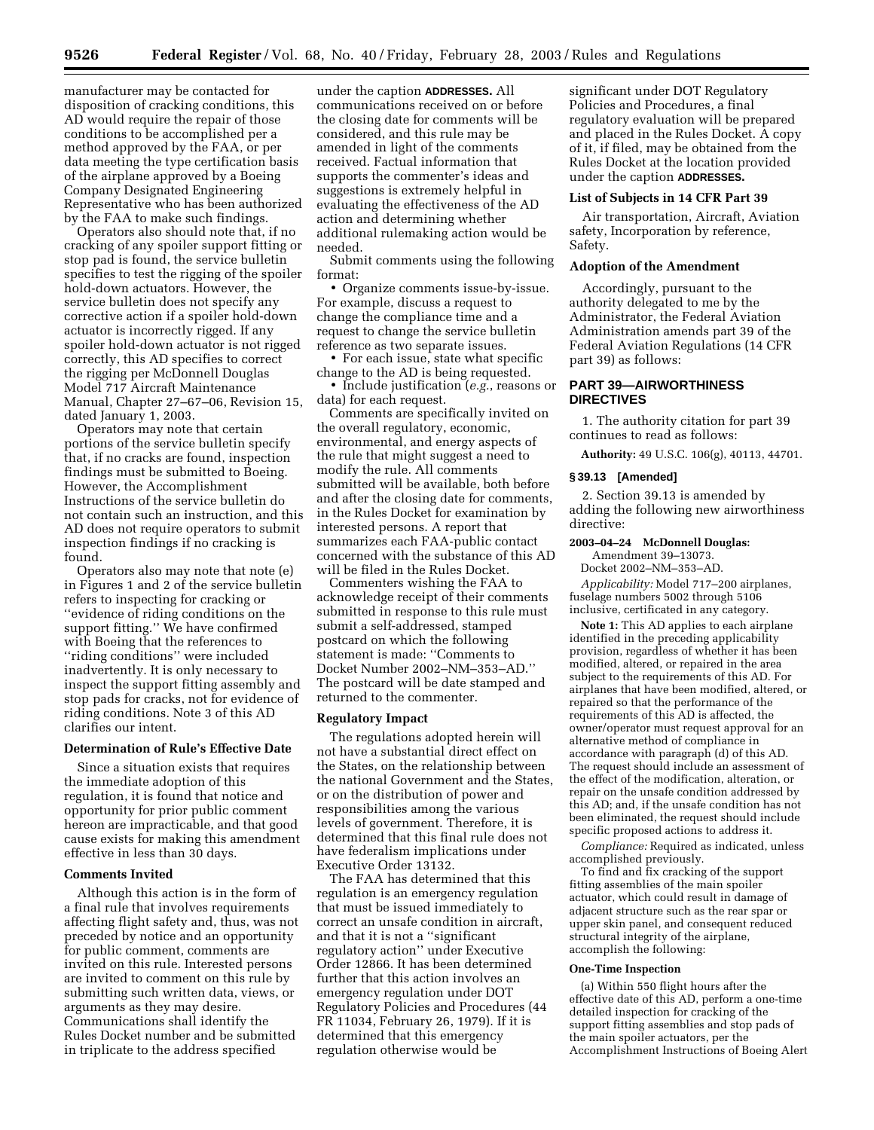manufacturer may be contacted for disposition of cracking conditions, this AD would require the repair of those conditions to be accomplished per a method approved by the FAA, or per data meeting the type certification basis of the airplane approved by a Boeing Company Designated Engineering Representative who has been authorized by the FAA to make such findings.

Operators also should note that, if no cracking of any spoiler support fitting or stop pad is found, the service bulletin specifies to test the rigging of the spoiler hold-down actuators. However, the service bulletin does not specify any corrective action if a spoiler hold-down actuator is incorrectly rigged. If any spoiler hold-down actuator is not rigged correctly, this AD specifies to correct the rigging per McDonnell Douglas Model 717 Aircraft Maintenance Manual, Chapter 27–67–06, Revision 15, dated January 1, 2003.

Operators may note that certain portions of the service bulletin specify that, if no cracks are found, inspection findings must be submitted to Boeing. However, the Accomplishment Instructions of the service bulletin do not contain such an instruction, and this AD does not require operators to submit inspection findings if no cracking is found.

Operators also may note that note (e) in Figures 1 and 2 of the service bulletin refers to inspecting for cracking or ''evidence of riding conditions on the support fitting.'' We have confirmed with Boeing that the references to ''riding conditions'' were included inadvertently. It is only necessary to inspect the support fitting assembly and stop pads for cracks, not for evidence of riding conditions. Note 3 of this AD clarifies our intent.

## **Determination of Rule's Effective Date**

Since a situation exists that requires the immediate adoption of this regulation, it is found that notice and opportunity for prior public comment hereon are impracticable, and that good cause exists for making this amendment effective in less than 30 days.

## **Comments Invited**

Although this action is in the form of a final rule that involves requirements affecting flight safety and, thus, was not preceded by notice and an opportunity for public comment, comments are invited on this rule. Interested persons are invited to comment on this rule by submitting such written data, views, or arguments as they may desire. Communications shall identify the Rules Docket number and be submitted in triplicate to the address specified

under the caption **ADDRESSES.** All communications received on or before the closing date for comments will be considered, and this rule may be amended in light of the comments received. Factual information that supports the commenter's ideas and suggestions is extremely helpful in evaluating the effectiveness of the AD action and determining whether additional rulemaking action would be needed.

Submit comments using the following format:

• Organize comments issue-by-issue. For example, discuss a request to change the compliance time and a request to change the service bulletin reference as two separate issues.

• For each issue, state what specific change to the AD is being requested.

• Include justification (*e.g.*, reasons or data) for each request.

Comments are specifically invited on the overall regulatory, economic, environmental, and energy aspects of the rule that might suggest a need to modify the rule. All comments submitted will be available, both before and after the closing date for comments, in the Rules Docket for examination by interested persons. A report that summarizes each FAA-public contact concerned with the substance of this AD will be filed in the Rules Docket.

Commenters wishing the FAA to acknowledge receipt of their comments submitted in response to this rule must submit a self-addressed, stamped postcard on which the following statement is made: ''Comments to Docket Number 2002–NM–353–AD.'' The postcard will be date stamped and returned to the commenter.

#### **Regulatory Impact**

The regulations adopted herein will not have a substantial direct effect on the States, on the relationship between the national Government and the States, or on the distribution of power and responsibilities among the various levels of government. Therefore, it is determined that this final rule does not have federalism implications under Executive Order 13132.

The FAA has determined that this regulation is an emergency regulation that must be issued immediately to correct an unsafe condition in aircraft, and that it is not a ''significant regulatory action'' under Executive Order 12866. It has been determined further that this action involves an emergency regulation under DOT Regulatory Policies and Procedures (44 FR 11034, February 26, 1979). If it is determined that this emergency regulation otherwise would be

significant under DOT Regulatory Policies and Procedures, a final regulatory evaluation will be prepared and placed in the Rules Docket. A copy of it, if filed, may be obtained from the Rules Docket at the location provided under the caption **ADDRESSES.**

#### **List of Subjects in 14 CFR Part 39**

Air transportation, Aircraft, Aviation safety, Incorporation by reference, Safety.

## **Adoption of the Amendment**

Accordingly, pursuant to the authority delegated to me by the Administrator, the Federal Aviation Administration amends part 39 of the Federal Aviation Regulations (14 CFR part 39) as follows:

## **PART 39—AIRWORTHINESS DIRECTIVES**

1. The authority citation for part 39 continues to read as follows:

**Authority:** 49 U.S.C. 106(g), 40113, 44701.

#### **§ 39.13 [Amended]**

2. Section 39.13 is amended by adding the following new airworthiness directive:

### **2003–04–24 McDonnell Douglas:**

Amendment 39–13073.

Docket 2002–NM–353–AD.

*Applicability:* Model 717–200 airplanes, fuselage numbers 5002 through 5106 inclusive, certificated in any category.

**Note 1:** This AD applies to each airplane identified in the preceding applicability provision, regardless of whether it has been modified, altered, or repaired in the area subject to the requirements of this AD. For airplanes that have been modified, altered, or repaired so that the performance of the requirements of this AD is affected, the owner/operator must request approval for an alternative method of compliance in accordance with paragraph (d) of this AD. The request should include an assessment of the effect of the modification, alteration, or repair on the unsafe condition addressed by this AD; and, if the unsafe condition has not been eliminated, the request should include specific proposed actions to address it.

*Compliance:* Required as indicated, unless accomplished previously.

To find and fix cracking of the support fitting assemblies of the main spoiler actuator, which could result in damage of adjacent structure such as the rear spar or upper skin panel, and consequent reduced structural integrity of the airplane, accomplish the following:

#### **One-Time Inspection**

(a) Within 550 flight hours after the effective date of this AD, perform a one-time detailed inspection for cracking of the support fitting assemblies and stop pads of the main spoiler actuators, per the Accomplishment Instructions of Boeing Alert